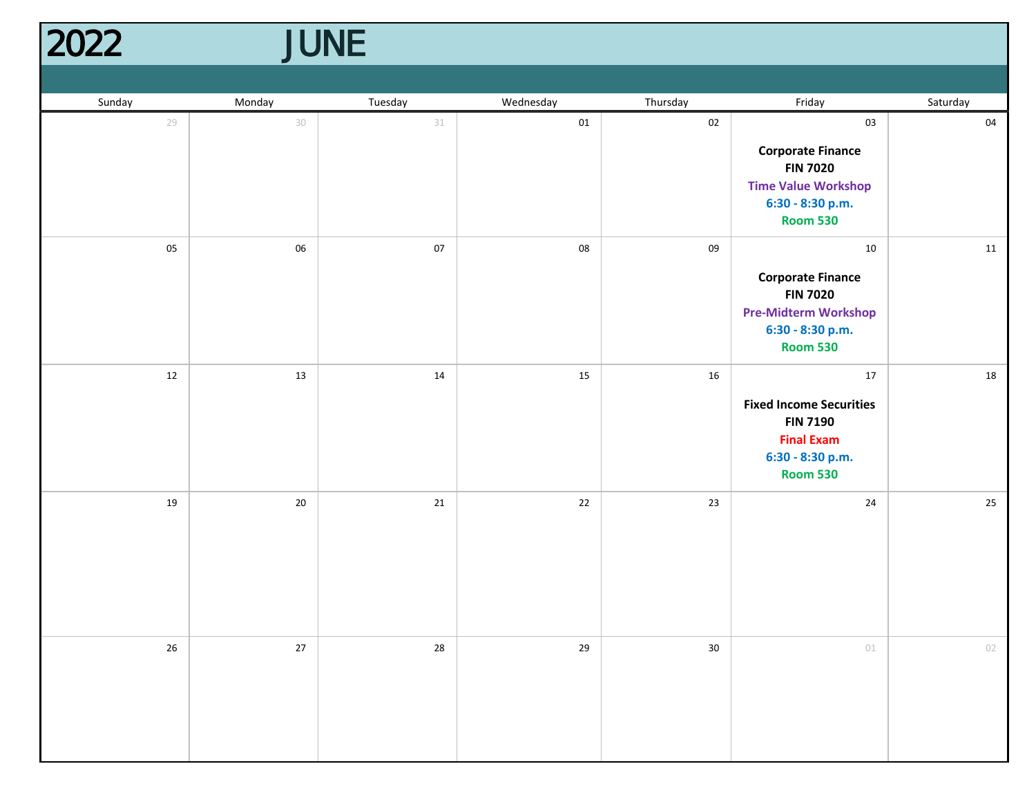| JUNE<br>2022 |        |        |         |           |          |                                                                                                                         |          |
|--------------|--------|--------|---------|-----------|----------|-------------------------------------------------------------------------------------------------------------------------|----------|
|              |        |        |         |           |          |                                                                                                                         |          |
|              | Sunday | Monday | Tuesday | Wednesday | Thursday | Friday                                                                                                                  | Saturday |
|              | 29     | $30\,$ | 31      | $01\,$    | 02       | 03<br><b>Corporate Finance</b><br><b>FIN 7020</b><br><b>Time Value Workshop</b><br>6:30 - 8:30 p.m.<br><b>Room 530</b>  | 04       |
|              | 05     | 06     | $07\,$  | 08        | 09       | 10<br><b>Corporate Finance</b><br><b>FIN 7020</b><br><b>Pre-Midterm Workshop</b><br>6:30 - 8:30 p.m.<br><b>Room 530</b> | 11       |
|              | 12     | 13     | 14      | 15        | 16       | 17<br><b>Fixed Income Securities</b><br><b>FIN 7190</b><br><b>Final Exam</b><br>6:30 - 8:30 p.m.<br><b>Room 530</b>     | 18       |
|              | 19     | $20\,$ | 21      | 22        | 23       | 24                                                                                                                      | 25       |
|              | 26     | $27\,$ | 28      | 29        | $30\,$   | $01$                                                                                                                    | 02       |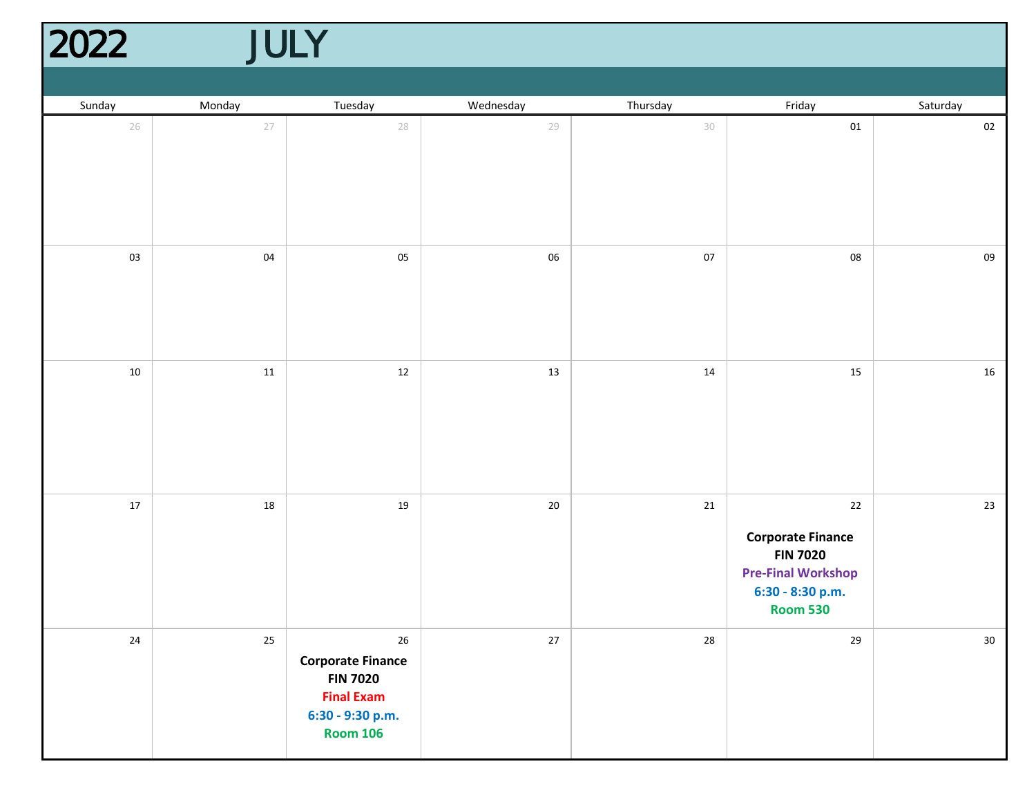## 2022 JULY 2022

| Sunday | Monday | Tuesday                                                                                                           | Wednesday | Thursday   | Friday                                                                                                                    | Saturday |
|--------|--------|-------------------------------------------------------------------------------------------------------------------|-----------|------------|---------------------------------------------------------------------------------------------------------------------------|----------|
| 26     | 27     | 28                                                                                                                | 29        | 30         | ${\tt 01}$                                                                                                                | $02\,$   |
| 03     | $04\,$ | 05                                                                                                                | 06        | $07\,$     | 08                                                                                                                        | 09       |
| $10\,$ | $11\,$ | $12\,$                                                                                                            | 13        | $14\,$     | 15                                                                                                                        | 16       |
| $17\,$ | 18     | $19\,$                                                                                                            | $20\,$    | 21         | $22\,$<br><b>Corporate Finance</b><br><b>FIN 7020</b><br><b>Pre-Final Workshop</b><br>6:30 - 8:30 p.m.<br><b>Room 530</b> | 23       |
| $24\,$ | 25     | $26\,$<br><b>Corporate Finance</b><br><b>FIN 7020</b><br><b>Final Exam</b><br>6:30 - 9:30 p.m.<br><b>Room 106</b> | $27\,$    | ${\bf 28}$ | 29                                                                                                                        | $30\,$   |